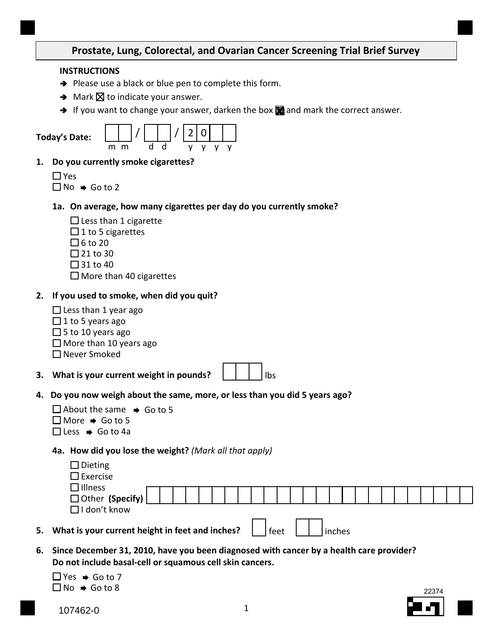## **Prostate, Lung, Colorectal, and Ovarian Cancer Screening Trial Brief Survey**

#### **INSTRUCTIONS**

- $\rightarrow$  Please use a black or blue pen to complete this form.
- $\rightarrow$  Mark  $\times$  to indicate your answer.
- → If you want to change your answer, darken the box  $\blacksquare$  and mark the correct answer.

|    |            | <b>Today's Date:</b>                        | m<br>m                                      | d | d | 2 | 0<br>۷ |  |
|----|------------|---------------------------------------------|---------------------------------------------|---|---|---|--------|--|
| 1. |            |                                             | Do you currently smoke cigarettes?          |   |   |   |        |  |
|    | $\Box$ Yes | $\Box$ No $\,\blacktriangleright\,$ Go to 2 |                                             |   |   |   |        |  |
|    |            |                                             | 1a. On average, how many cigarettes per day |   |   |   |        |  |
|    |            |                                             | $\Box$ Less than 1 cigarette                |   |   |   |        |  |
|    |            |                                             | $\Box$ 1 to 5 cigarettes                    |   |   |   |        |  |
|    |            | □6 to 20                                    |                                             |   |   |   |        |  |
|    |            | ⊿ 21 to 30                                  |                                             |   |   |   |        |  |
|    |            | ∃31 to 40                                   |                                             |   |   |   |        |  |
|    |            |                                             | $\square$ More than 40 cigarettes           |   |   |   |        |  |

#### **2. If you used to smoke, when did you quit?**

- Less than 1 year ago
- $\Box$  1 to 5 years ago
- $\Box$  5 to 10 years ago
- $\Box$  More than 10 years ago

 $\Box$  Never Smoked

 **3. What is your current weight in pounds?** lbs

**1** do you currently smoke?

 **4. Do you now weigh about the same, more, or less than you did 5 years ago?** 

| $\Box$ About the same $\rightarrow$ Go to 5 |  |
|---------------------------------------------|--|
| $\Box$ More $\rightarrow$ Go to 5           |  |
| $\Box$ Less $\Rightarrow$ Go to 4a          |  |

## **4a. How did you lose the weight?** *(Mark all that apply)*

| $\Box$ Dieting                 |  |  |  |   |  |  |  |  |  |  |  |  |  |
|--------------------------------|--|--|--|---|--|--|--|--|--|--|--|--|--|
| $\square$ Exercise             |  |  |  |   |  |  |  |  |  |  |  |  |  |
| □ Illness<br>□ Other (Specify) |  |  |  |   |  |  |  |  |  |  |  |  |  |
| $\Box$ I don't know            |  |  |  |   |  |  |  |  |  |  |  |  |  |
| . .                            |  |  |  | - |  |  |  |  |  |  |  |  |  |

- **5.** What is your current height in feet and inches?  $\Box$  feet  $\Box$  inches
- **6. Since December 31, 2010, have you been diagnosed with cancer by a health care provider? Do not include basal-cell or squamous cell skin cancers.**

 $No \rightarrow Go$  to 8 Yes  $\rightarrow$  Go to 7

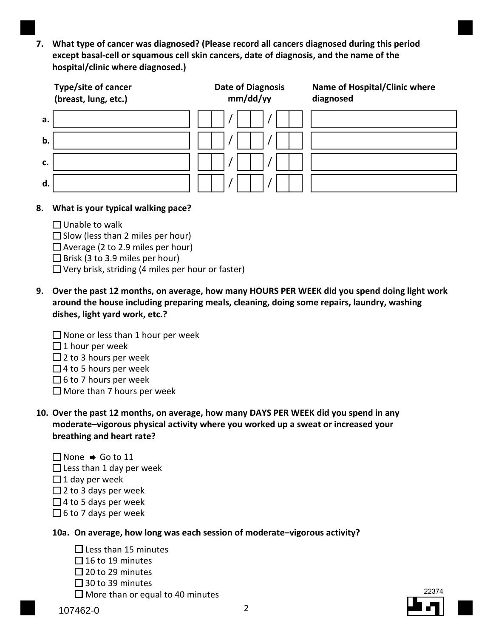**7. What type of cancer was diagnosed? (Please record all cancers diagnosed during this period except basal-cell or squamous cell skin cancers, date of diagnosis, and the name of the hospital/clinic where diagnosed.)** 

|    | Type/site of cancer<br>(breast, lung, etc.) | <b>Date of Diagnosis</b><br>mm/dd/yy | Name of Hospital/Clinic where<br>diagnosed |
|----|---------------------------------------------|--------------------------------------|--------------------------------------------|
| а. |                                             |                                      |                                            |
| b. |                                             |                                      |                                            |
| c. |                                             |                                      |                                            |
| d. |                                             |                                      |                                            |

## **8. What is your typical walking pace?**

- Unable to walk
- Slow (less than 2 miles per hour)
- Average (2 to 2.9 miles per hour)
- Brisk (3 to 3.9 miles per hour)
- Very brisk, striding (4 miles per hour or faster)
- **around the house including preparing meals, cleaning, doing some repairs, laundry, washing 9. Over the past 12 months, on average, how many HOURS PER WEEK did you spend doing light work dishes, light yard work, etc.?** 
	- $\Box$  None or less than 1 hour per week
	- $\Box$  1 hour per week
	- $\Box$  2 to 3 hours per week
	- $\Box$  4 to 5 hours per week
	- $\Box$  6 to 7 hours per week
	- $\Box$  More than 7 hours per week
- **moderate–vigorous physical activity where you worked up a sweat or increased your 10. Over the past 12 months, on average, how many DAYS PER WEEK did you spend in any breathing and heart rate?** 
	- Less than 1 day per week None → Go to 11  $\Box$  1 day per week  $\Box$  2 to 3 days per week  $\Box$  4 to 5 days per week  $\Box$  6 to 7 days per week
	- **10a. On average, how long was each session of moderate–vigorous activity?** 
		- Less than 15 minutes
		- $\Box$  16 to 19 minutes
		- $\Box$  20 to 29 minutes
		- □ 30 to 39 minutes
		- More than or equal to 40 minutes  $\sqrt{\frac{22374}{200}}$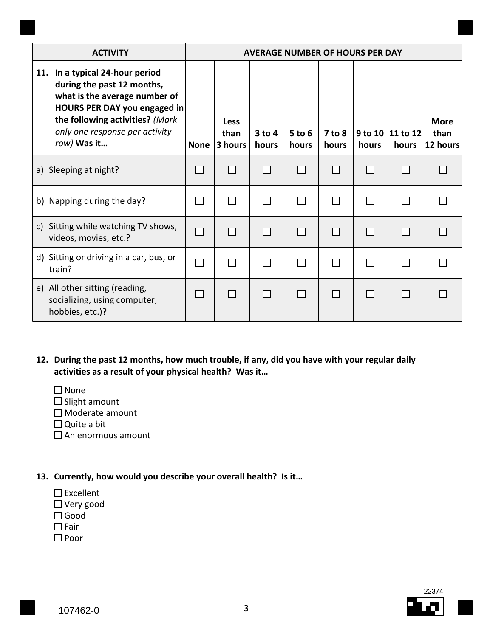| <b>ACTIVITY</b>                                                                                                                                                                                                    | <b>AVERAGE NUMBER OF HOURS PER DAY</b> |                                |                   |                     |                 |       |                             |                                 |  |  |  |  |  |  |
|--------------------------------------------------------------------------------------------------------------------------------------------------------------------------------------------------------------------|----------------------------------------|--------------------------------|-------------------|---------------------|-----------------|-------|-----------------------------|---------------------------------|--|--|--|--|--|--|
| 11. In a typical 24-hour period<br>during the past 12 months,<br>what is the average number of<br>HOURS PER DAY you engaged in<br>the following activities? (Mark<br>only one response per activity<br>row) Was it | <b>None</b>                            | <b>Less</b><br>than<br>3 hours | $3$ to 4<br>hours | $5$ to $6$<br>hours | 7 to 8<br>hours | hours | 9 to 10   11 to 12<br>hours | <b>More</b><br>than<br>12 hours |  |  |  |  |  |  |
| a) Sleeping at night?                                                                                                                                                                                              |                                        |                                |                   |                     |                 |       |                             |                                 |  |  |  |  |  |  |
| b) Napping during the day?                                                                                                                                                                                         |                                        |                                |                   |                     |                 |       |                             |                                 |  |  |  |  |  |  |
| c) Sitting while watching TV shows,<br>videos, movies, etc.?                                                                                                                                                       | $\Box$                                 | П                              | Г                 |                     | П               | Г     |                             |                                 |  |  |  |  |  |  |
| d) Sitting or driving in a car, bus, or<br>train?                                                                                                                                                                  |                                        |                                |                   |                     |                 |       |                             |                                 |  |  |  |  |  |  |
| e) All other sitting (reading,<br>socializing, using computer,<br>hobbies, etc.)?                                                                                                                                  |                                        |                                |                   |                     | $\Box$          |       |                             |                                 |  |  |  |  |  |  |

- **12. During the past 12 months, how much trouble, if any, did you have with your regular daily activities as a result of your physical health? Was it…** 
	- □ None
	- $\square$  Slight amount
	- □ Moderate amount
	- Quite a bit
	- An enormous amount
- **13. Currently, how would you describe your overall health? Is it…** 
	- $\square$  Excellent
	- Very good
	- Good
	- $\Box$  Fair
	- □ Poor

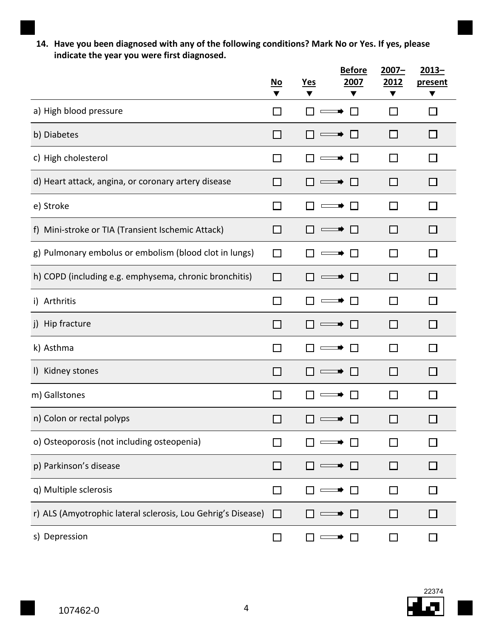**14. Have you been diagnosed with any of the following conditions? Mark No or Yes. If yes, please indicate the year you were first diagnosed.** 

|                                                              | $\underline{\mathsf{No}}$<br>▼ | <b>Yes</b> | <b>Before</b><br>2007<br>▼ | $2007 -$<br>2012<br>▼ | $2013 -$<br>present<br>▼ |
|--------------------------------------------------------------|--------------------------------|------------|----------------------------|-----------------------|--------------------------|
| a) High blood pressure                                       |                                |            |                            | l I                   | H                        |
| b) Diabetes                                                  | $\mathcal{L}$                  |            | $\mathbf{L}$               | П                     | ΙI                       |
| c) High cholesterol                                          | $\mathcal{L}$                  |            |                            | l I                   |                          |
| d) Heart attack, angina, or coronary artery disease          |                                |            |                            | - 1                   | ΙI                       |
| e) Stroke                                                    | П                              |            |                            | $\Box$                | $\mathsf{L}$             |
| f) Mini-stroke or TIA (Transient Ischemic Attack)            | l 1                            |            | $\mathbf{L}$               | $\Box$                | $\Box$                   |
| g) Pulmonary embolus or embolism (blood clot in lungs)       | П                              |            | $\mathbf{L}$               | П                     | ΙI                       |
| h) COPD (including e.g. emphysema, chronic bronchitis)       | ΙI                             |            | $\mathbf{L}$               | ΙI                    | □                        |
| i) Arthritis                                                 | $\mathsf{L}$                   |            | $\mathbf{L}$               | $\Box$                | ΙI                       |
| j) Hip fracture                                              | $\mathcal{L}$                  |            | $\mathbf{L}$               | - 1                   | ΙI                       |
| k) Asthma                                                    |                                |            | $\mathbf{I}$               | H                     |                          |
| I) Kidney stones                                             |                                |            |                            | H                     | H                        |
| m) Gallstones                                                |                                |            |                            | H                     | $\mathsf{L}$             |
| n) Colon or rectal polyps                                    |                                |            |                            |                       |                          |
| o) Osteoporosis (not including osteopenia)                   |                                |            |                            |                       |                          |
| p) Parkinson's disease                                       | $\mathbf{I}$                   |            |                            | П                     | ΙI                       |
| q) Multiple sclerosis                                        |                                |            |                            | ΙI                    |                          |
| r) ALS (Amyotrophic lateral sclerosis, Lou Gehrig's Disease) | □                              |            |                            | ΙI                    | ⊔                        |
| s) Depression                                                | $\Box$                         |            | $\mathbf{L}$               | $\Box$                | $\mathsf{L}$             |

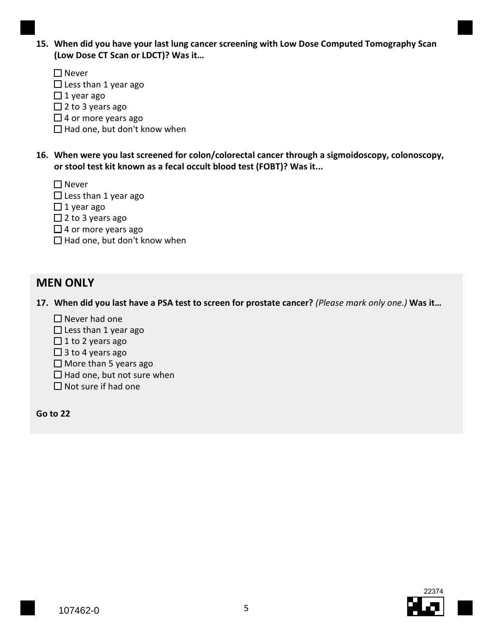- **15. When did you have your last lung cancer screening with Low Dose Computed Tomography Scan (Low Dose CT Scan or LDCT)? Was it…** 
	- □ Never
	- Less than 1 year ago
	- $\Box$  1 year ago
	- $\Box$  2 to 3 years ago
	- $\Box$  4 or more years ago
	- Had one, but don't know when
- **16. When were you last screened for colon/colorectal cancer through a sigmoidoscopy, colonoscopy, or stool test kit known as a fecal occult blood test (FOBT)? Was it...** 
	- $\Box$  Never
	- Less than 1 year ago
	- $\Box$  1 year ago
	- $\Box$  2 to 3 years ago
	- $\Box$  4 or more years ago
	- Had one, but don't know when

# **MEN ONLY**

 **17. When did you last have a PSA test to screen for prostate cancer?** *(Please mark only one.)* **Was it…** 

- $\Box$  Never had one
- Less than 1 year ago
- $\Box$  1 to 2 years ago
- $\Box$  3 to 4 years ago
- $\Box$  More than 5 years ago
- Had one, but not sure when
- $\Box$  Not sure if had one

**Go to 22**